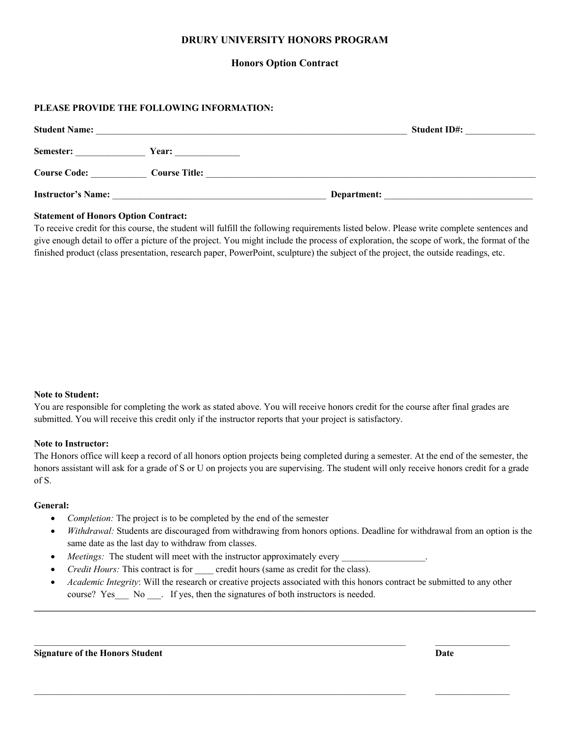# **DRURY UNIVERSITY HONORS PROGRAM**

## **Honors Option Contract**

## **PLEASE PROVIDE THE FOLLOWING INFORMATION:**

| <b>Student Name:</b>      |                      | <b>Student ID#:</b> |  |
|---------------------------|----------------------|---------------------|--|
| Semester:                 | <b>Year:</b>         |                     |  |
| <b>Course Code:</b>       | <b>Course Title:</b> |                     |  |
| <b>Instructor's Name:</b> |                      | Department:         |  |

#### **Statement of Honors Option Contract:**

To receive credit for this course, the student will fulfill the following requirements listed below. Please write complete sentences and give enough detail to offer a picture of the project. You might include the process of exploration, the scope of work, the format of the finished product (class presentation, research paper, PowerPoint, sculpture) the subject of the project, the outside readings, etc.

#### **Note to Student:**

You are responsible for completing the work as stated above. You will receive honors credit for the course after final grades are submitted. You will receive this credit only if the instructor reports that your project is satisfactory.

### **Note to Instructor:**

The Honors office will keep a record of all honors option projects being completed during a semester. At the end of the semester, the honors assistant will ask for a grade of S or U on projects you are supervising. The student will only receive honors credit for a grade of S.

#### **General:**

- *Completion:* The project is to be completed by the end of the semester
- *Withdrawal:* Students are discouraged from withdrawing from honors options. Deadline for withdrawal from an option is the same date as the last day to withdraw from classes.
- *Meetings:* The student will meet with the instructor approximately every
- *Credit Hours:* This contract is for credit hours (same as credit for the class).
- *Academic Integrity*: Will the research or creative projects associated with this honors contract be submitted to any other course? Yes No . If yes, then the signatures of both instructors is needed.

**\_\_\_\_\_\_\_\_\_\_\_\_\_\_\_\_\_\_\_\_\_\_\_\_\_\_\_\_\_\_\_\_\_\_\_\_\_\_\_\_\_\_\_\_\_\_\_\_\_\_\_\_\_\_\_\_\_\_\_\_\_\_\_\_\_\_\_\_\_\_\_\_\_\_\_\_\_\_\_\_\_\_\_\_\_\_\_\_\_\_\_\_\_\_\_\_\_\_\_\_\_\_\_\_\_\_\_\_**

 $\mathcal{L}_\mathcal{L} = \mathcal{L}_\mathcal{L} = \mathcal{L}_\mathcal{L} = \mathcal{L}_\mathcal{L} = \mathcal{L}_\mathcal{L} = \mathcal{L}_\mathcal{L} = \mathcal{L}_\mathcal{L} = \mathcal{L}_\mathcal{L} = \mathcal{L}_\mathcal{L} = \mathcal{L}_\mathcal{L} = \mathcal{L}_\mathcal{L} = \mathcal{L}_\mathcal{L} = \mathcal{L}_\mathcal{L} = \mathcal{L}_\mathcal{L} = \mathcal{L}_\mathcal{L} = \mathcal{L}_\mathcal{L} = \mathcal{L}_\mathcal{L}$